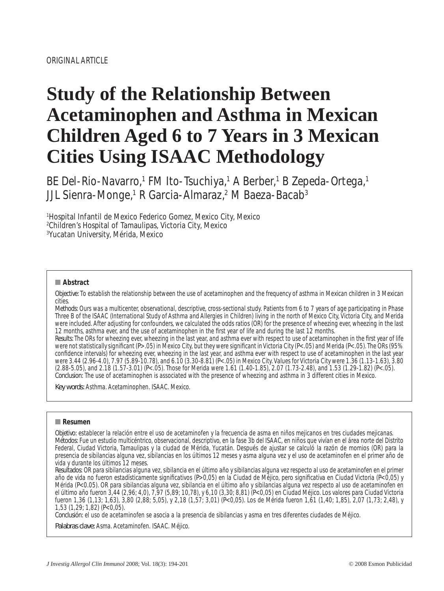# **Study of the Relationship Between Acetaminophen and Asthma in Mexican Children Aged 6 to 7 Years in 3 Mexican Cities Using ISAAC Methodology**

BE Del-Rio-Navarro,1 FM Ito-Tsuchiya,1 A Berber,1 B Zepeda-Ortega,1 JJL Sienra-Monge,<sup>1</sup> R Garcia-Almaraz,<sup>2</sup> M Baeza-Bacab<sup>3</sup>

1 Hospital Infantil de Mexico Federico Gomez, Mexico City, Mexico 2 Children's Hospital of Tamaulipas, Victoria City, Mexico 3 Yucatan University, Mérida, Mexico

#### ■ **Abstract**

*Objective:* To establish the relationship between the use of acetaminophen and the frequency of asthma in Mexican children in 3 Mexican cities.

*Methods:* Ours was a multicenter, observational, descriptive, cross-sectional study. Patients from 6 to 7 years of age participating in Phase Three B of the ISAAC (International Study of Asthma and Allergies in Children) living in the north of Mexico City, Victoria City, and Merida were included. After adjusting for confounders, we calculated the odds ratios (OR) for the presence of wheezing ever, wheezing in the last 12 months, asthma ever, and the use of acetaminophen in the first year of life and during the last 12 months.

*Results:* The ORs for wheezing ever, wheezing in the last year, and asthma ever with respect to use of acetaminophen in the first year of life were not statistically significant (*P*>.05) in Mexico City, but they were significant in Victoria City (*P*<.05) and Merida (*P*<.05). The ORs (95% confidence intervals) for wheezing ever, wheezing in the last year, and asthma ever with respect to use of acetaminophen in the last year were 3.44 (2.96-4.0), 7.97 (5.89-10.78), and 6.10 (3.30-8.81) (*P*<.05) in Mexico City. Values for Victoria City were 1.36 (1.13-1.63), 3.80 (2.88-5.05), and 2.18 (1.57-3.01) (*P*<.05). Those for Merida were 1.61 (1.40-1.85), 2.07 (1.73-2.48), and 1.53 (1.29-1.82) (*P*<.05). *Conclusion:* The use of acetaminophen is associated with the presence of wheezing and asthma in 3 different cities in Mexico.

Key words: Asthma. Acetaminophen. ISAAC. Mexico.

#### ■ **Resumen**

*Objetivo:* establecer la relación entre el uso de acetaminofen y la frecuencia de asma en niños mejicanos en tres ciudades mejicanas. *Métodos:* Fue un estudio multicéntrico, observacional, descriptivo, en la fase 3b del ISAAC, en niños que vivían en el área norte del Distrito Federal, Ciudad Victoria, Tamaulipas y la ciudad de Mérida, Yucatán. Después de ajustar se calculó la razón de momios (OR) para la presencia de sibilancias alguna vez, sibilancias en los últimos 12 meses y asma alguna vez y el uso de acetaminofen en el primer año de vida y durante los últimos 12 meses.

*Resultados:* OR para sibilancias alguna vez, sibilancia en el último año y sibilancias alguna vez respecto al uso de acetaminofen en el primer año de vida no fueron estadísticamente significativos (P>0,05) en la Ciudad de Méjico, pero significativa en Ciudad Victoria (P<0,05) y Mérida (*P*<0.05). OR para sibilancias alguna vez, sibilancia en el último año y sibilancias alguna vez respecto al uso de acetaminofen en el último año fueron 3,44 (2,96; 4,0), 7,97 (5,89; 10,78), y 6,10 (3,30; 8,81) (*P*<0,05) en Ciudad Méjico. Los valores para Ciudad Victoria fueron 1,36 (1,13; 1,63), 3,80 (2,88; 5,05), y 2,18 (1,57; 3,01) (*P*<0,05). Los de Mérida fueron 1,61 (1,40; 1,85), 2,07 (1,73; 2,48), y 1,53 (1,29; 1,82) (*P*<0,05).

*Conclusión:* el uso de acetaminofen se asocia a la presencia de sibilancias y asma en tres diferentes ciudades de Méjico.

Palabras clave: Asma. Acetaminofen. ISAAC. Méjico.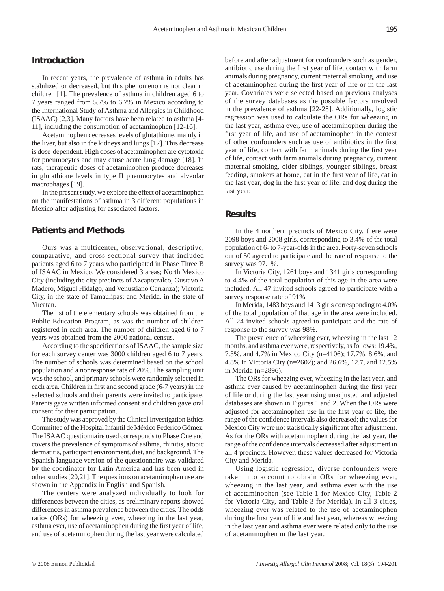# **Introduction**

In recent years, the prevalence of asthma in adults has stabilized or decreased, but this phenomenon is not clear in children [1]. The prevalence of asthma in children aged 6 to 7 years ranged from 5.7% to 6.7% in Mexico according to the International Study of Asthma and Allergies in Childhood (ISAAC) [2,3]. Many factors have been related to asthma [4- 11], including the consumption of acetaminophen [12-16].

Acetaminophen decreases levels of glutathione, mainly in the liver, but also in the kidneys and lungs [17]. This decrease is dose-dependent. High doses of acetaminophen are cytotoxic for pneumocytes and may cause acute lung damage [18]. In rats, therapeutic doses of acetaminophen produce decreases in glutathione levels in type II pneumocytes and alveolar macrophages [19].

In the present study, we explore the effect of acetaminophen on the manifestations of asthma in 3 different populations in Mexico after adjusting for associated factors.

# **Patients and Methods**

Ours was a multicenter, observational, descriptive, comparative, and cross-sectional survey that included patients aged 6 to 7 years who participated in Phase Three B of ISAAC in Mexico. We considered 3 areas; North Mexico City (including the city precincts of Azcapotzalco, Gustavo A Madero, Miguel Hidalgo, and Venustiano Carranza); Victoria City, in the state of Tamaulipas; and Merida, in the state of Yucatan.

The list of the elementary schools was obtained from the Public Education Program, as was the number of children registered in each area. The number of children aged 6 to 7 years was obtained from the 2000 national census.

According to the specifications of ISAAC, the sample size for each survey center was 3000 children aged 6 to 7 years. The number of schools was determined based on the school population and a nonresponse rate of 20%. The sampling unit was the school, and primary schools were randomly selected in each area. Children in first and second grade (6-7 years) in the selected schools and their parents were invited to participate. Parents gave written informed consent and children gave oral consent for their participation.

The study was approved by the Clinical Investigation Ethics Committee of the Hospital Infantil de México Federico Gómez. The ISAAC questionnaire used corresponds to Phase One and covers the prevalence of symptoms of asthma, rhinitis, atopic dermatitis, participant environment, diet, and background. The Spanish-language version of the questionnaire was validated by the coordinator for Latin America and has been used in other studies [20,21]. The questions on acetaminophen use are shown in the Appendix in English and Spanish.

The centers were analyzed individually to look for differences between the cities, as preliminary reports showed differences in asthma prevalence between the cities. The odds ratios (ORs) for wheezing ever, wheezing in the last year, asthma ever, use of acetaminophen during the first year of life, and use of acetaminophen during the last year were calculated

before and after adjustment for confounders such as gender, antibiotic use during the first year of life, contact with farm animals during pregnancy, current maternal smoking, and use of acetaminophen during the first year of life or in the last year. Covariates were selected based on previous analyses of the survey databases as the possible factors involved in the prevalence of asthma [22-28]. Additionally, logistic regression was used to calculate the ORs for wheezing in the last year, asthma ever, use of acetaminophen during the first year of life, and use of acetaminophen in the context of other confounders such as use of antibiotics in the first year of life, contact with farm animals during the first year of life, contact with farm animals during pregnancy, current maternal smoking, older siblings, younger siblings, breast feeding, smokers at home, cat in the first year of life, cat in the last year, dog in the first year of life, and dog during the last year.

#### **Results**

In the 4 northern precincts of Mexico City, there were 2098 boys and 2008 girls, corresponding to 3.4% of the total population of 6- to 7-year-olds in the area. Forty-seven schools out of 50 agreed to participate and the rate of response to the survey was 97.1%.

In Victoria City, 1261 boys and 1341 girls corresponding to 4.4% of the total population of this age in the area were included. All 47 invited schools agreed to participate with a survey response rate of 91%.

In Merida, 1483 boys and 1413 girls corresponding to 4.0% of the total population of that age in the area were included. All 24 invited schools agreed to participate and the rate of response to the survey was 98%.

The prevalence of wheezing ever, wheezing in the last 12 months, and asthma ever were, respectively, as follows: 19.4%, 7.3%, and 4.7% in Mexico City (n=4106); 17.7%, 8.6%, and 4.8% in Victoria City (n=2602); and 26.6%, 12.7, and 12.5% in Merida (n=2896).

The ORs for wheezing ever, wheezing in the last year, and asthma ever caused by acetaminophen during the first year of life or during the last year using unadjusted and adjusted databases are shown in Figures 1 and 2. When the ORs were adjusted for acetaminophen use in the first year of life, the range of the confidence intervals also decreased; the values for Mexico City were not statistically significant after adjustment. As for the ORs with acetaminophen during the last year, the range of the confidence intervals decreased after adjustment in all 4 precincts. However, these values decreased for Victoria City and Merida.

Using logistic regression, diverse confounders were taken into account to obtain ORs for wheezing ever, wheezing in the last year, and asthma ever with the use of acetaminophen (see Table 1 for Mexico City, Table 2 for Victoria City, and Table 3 for Merida). In all 3 cities, wheezing ever was related to the use of acetaminophen during the first year of life and last year, whereas wheezing in the last year and asthma ever were related only to the use of acetaminophen in the last year.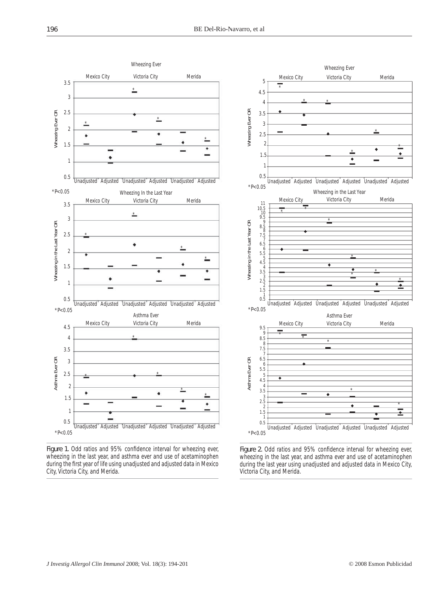

Figure 1. Odd ratios and 95% confidence interval for wheezing ever, wheezing in the last year, and asthma ever and use of acetaminophen during the first year of life using unadjusted and adjusted data in Mexico City, Victoria City, and Merida.



Figure 2. Odd ratios and 95% confidence interval for wheezing ever, wheezing in the last year, and asthma ever and use of acetaminophen during the last year using unadjusted and adjusted data in Mexico City, Victoria City, and Merida.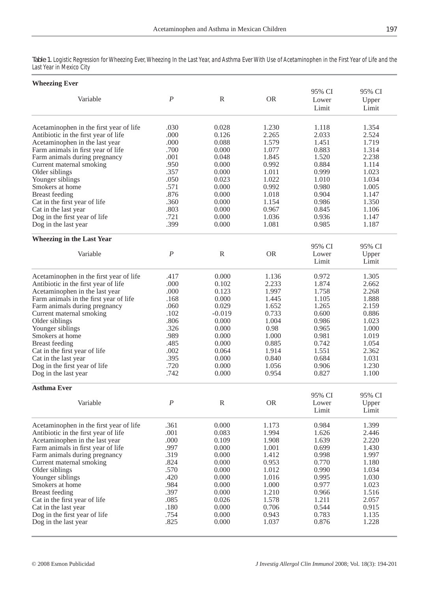Table 1. Logistic Regression for Wheezing Ever, Wheezing In the Last Year, and Asthma Ever With Use of Acetaminophen in the First Year of Life and the Last Year in Mexico City

| <b>Wheezing Ever</b>                    |                  |              |           |                          |                          |  |  |
|-----------------------------------------|------------------|--------------|-----------|--------------------------|--------------------------|--|--|
| Variable                                | $\boldsymbol{P}$ | R            | <b>OR</b> | 95% CI<br>Lower<br>Limit | 95% CI<br>Upper<br>Limit |  |  |
| Acetaminophen in the first year of life | .030             | 0.028        | 1.230     | 1.118                    | 1.354                    |  |  |
| Antibiotic in the first year of life    | .000             | 0.126        | 2.265     | 2.033                    | 2.524                    |  |  |
| Acetaminophen in the last year          | .000             | 0.088        | 1.579     | 1.451                    | 1.719                    |  |  |
| Farm animals in first year of life      | .700             | 0.000        | 1.077     | 0.883                    | 1.314                    |  |  |
| Farm animals during pregnancy           | .001             | 0.048        | 1.845     | 1.520                    | 2.238                    |  |  |
| Current maternal smoking                | .950             | 0.000        | 0.992     | 0.884                    | 1.114                    |  |  |
| Older siblings                          | .357             | 0.000        | 1.011     | 0.999                    | 1.023                    |  |  |
| Younger siblings                        | .050             | 0.023        | 1.022     | 1.010                    | 1.034                    |  |  |
| Smokers at home                         | .571             | 0.000        | 0.992     | 0.980                    | 1.005                    |  |  |
| <b>Breast</b> feeding                   | .876             | 0.000        | 1.018     | 0.904                    | 1.147                    |  |  |
| Cat in the first year of life           | .360             | 0.000        | 1.154     | 0.986                    | 1.350                    |  |  |
| Cat in the last year                    | .803             | 0.000        | 0.967     | 0.845                    | 1.106                    |  |  |
| Dog in the first year of life           | .721             | 0.000        | 1.036     | 0.936                    | 1.147                    |  |  |
| Dog in the last year                    | .399             | 0.000        | 1.081     | 0.985                    | 1.187                    |  |  |
| <b>Wheezing in the Last Year</b>        |                  |              |           |                          |                          |  |  |
|                                         |                  |              |           | 95% CI                   | 95% CI                   |  |  |
| Variable                                | $\boldsymbol{P}$ | $\mathbb R$  | <b>OR</b> | Lower<br>Limit           | Upper<br>Limit           |  |  |
| Acetaminophen in the first year of life | .417             | 0.000        | 1.136     | 0.972                    | 1.305                    |  |  |
| Antibiotic in the first year of life    | .000             | 0.102        | 2.233     | 1.874                    | 2.662                    |  |  |
| Acetaminophen in the last year          | .000             | 0.123        | 1.997     | 1.758                    | 2.268                    |  |  |
| Farm animals in the first year of life  | .168             | 0.000        | 1.445     | 1.105                    | 1.888                    |  |  |
| Farm animals during pregnancy           | .060             | 0.029        | 1.652     | 1.265                    | 2.159                    |  |  |
| Current maternal smoking                | .102             | $-0.019$     | 0.733     | 0.600                    | 0.886                    |  |  |
| Older siblings                          | .806             | 0.000        | 1.004     | 0.986                    | 1.023                    |  |  |
| Younger siblings                        | .326             | 0.000        | 0.98      | 0.965                    | 1.000                    |  |  |
| Smokers at home                         | .989             | 0.000        | 1.000     | 0.981                    | 1.019                    |  |  |
| <b>Breast</b> feeding                   | .485             | 0.000        | 0.885     | 0.742                    | 1.054                    |  |  |
| Cat in the first year of life           | .002             | 0.064        | 1.914     | 1.551                    | 2.362                    |  |  |
| Cat in the last year                    | .395             | 0.000        | 0.840     | 0.684                    | 1.031                    |  |  |
| Dog in the first year of life           | .720             | 0.000        | 1.056     | 0.906                    | 1.230                    |  |  |
| Dog in the last year                    | .742             | 0.000        | 0.954     | 0.827                    | 1.100                    |  |  |
| <b>Asthma Ever</b>                      |                  |              |           |                          |                          |  |  |
|                                         |                  |              |           | 95% CI                   | 95% CI                   |  |  |
| Variable                                | $\boldsymbol{P}$ | $\mathbb{R}$ | <b>OR</b> | Lower                    | Upper                    |  |  |
|                                         |                  |              |           | Limit                    | Limit                    |  |  |
| Acetaminophen in the first year of life | .361             | 0.000        | 1.173     | 0.984                    | 1.399                    |  |  |
| Antibiotic in the first year of life    | .001             | 0.083        | 1.994     | 1.626                    | 2.446                    |  |  |
| Acetaminophen in the last year          | .000             | 0.109        | 1.908     | 1.639                    | 2.220                    |  |  |
| Farm animals in first year of life      | .997             | 0.000        | 1.001     | 0.699                    | 1.430                    |  |  |
| Farm animals during pregnancy           | .319             | 0.000        | 1.412     | 0.998                    | 1.997                    |  |  |
| Current maternal smoking                | .824             | 0.000        | 0.953     | 0.770                    | 1.180                    |  |  |
| Older siblings                          | .570             | 0.000        | 1.012     | 0.990                    | 1.034                    |  |  |
| Younger siblings                        | .420             | 0.000        | 1.016     | 0.995                    | 1.030                    |  |  |
| Smokers at home                         | .984             | 0.000        | 1.000     | 0.977                    | 1.023                    |  |  |
| <b>Breast feeding</b>                   | .397             | 0.000        | 1.210     | 0.966                    | 1.516                    |  |  |
| Cat in the first year of life           | .085             | 0.026        | 1.578     | 1.211                    | 2.057                    |  |  |
| Cat in the last year                    | .180             | 0.000        | 0.706     | 0.544                    | 0.915                    |  |  |
| Dog in the first year of life           | .754             | 0.000        | 0.943     | 0.783                    | 1.135                    |  |  |
| Dog in the last year                    | .825             | 0.000        | 1.037     | 0.876                    | 1.228                    |  |  |
|                                         |                  |              |           |                          |                          |  |  |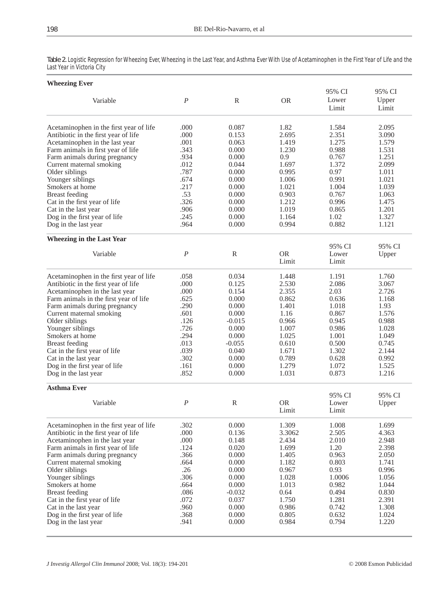| <b>Wheezing Ever</b>                                  |                  |                |                    |                          |                          |  |  |
|-------------------------------------------------------|------------------|----------------|--------------------|--------------------------|--------------------------|--|--|
| Variable                                              | $\boldsymbol{P}$ | $\mathbb{R}$   | <b>OR</b>          | 95% CI<br>Lower<br>Limit | 95% CI<br>Upper<br>Limit |  |  |
| Acetaminophen in the first year of life               | .000             | 0.087          | 1.82               | 1.584                    | 2.095                    |  |  |
| Antibiotic in the first year of life                  | .000             | 0.153          | 2.695              | 2.351                    | 3.090                    |  |  |
| Acetaminophen in the last year                        | .001             | 0.063          | 1.419              | 1.275                    | 1.579                    |  |  |
| Farm animals in first year of life                    | .343             | 0.000          | 1.230              | 0.988                    | 1.531                    |  |  |
| Farm animals during pregnancy                         | .934             | 0.000          | 0.9                | 0.767<br>1.372           | 1.251                    |  |  |
| Current maternal smoking                              | .012             | 0.044          | 1.697              |                          | 2.099                    |  |  |
| Older siblings                                        | .787<br>.674     | 0.000          | 0.995              | 0.97                     | 1.011                    |  |  |
| Younger siblings<br>Smokers at home                   | .217             | 0.000<br>0.000 | 1.006<br>1.021     | 0.991<br>1.004           | 1.021<br>1.039           |  |  |
|                                                       | .53              | 0.000          | 0.903              | 0.767                    | 1.063                    |  |  |
| <b>Breast</b> feeding                                 | .326             | 0.000          | 1.212              | 0.996                    | 1.475                    |  |  |
| Cat in the first year of life                         | .906             | 0.000          | 1.019              | 0.865                    | 1.201                    |  |  |
| Cat in the last year<br>Dog in the first year of life | .245             | 0.000          | 1.164              | 1.02                     | 1.327                    |  |  |
| Dog in the last year                                  | .964             | 0.000          | 0.994              | 0.882                    | 1.121                    |  |  |
| <b>Wheezing in the Last Year</b>                      |                  |                |                    |                          |                          |  |  |
| Variable                                              |                  |                |                    | 95% CI                   | 95% CI                   |  |  |
|                                                       | $\boldsymbol{P}$ | $\mathbb{R}$   | <b>OR</b><br>Limit | Lower<br>Limit           | Upper                    |  |  |
| Acetaminophen in the first year of life               | .058             | 0.034          | 1.448              | 1.191                    | 1.760                    |  |  |
| Antibiotic in the first year of life                  | .000             | 0.125          | 2.530              | 2.086                    | 3.067                    |  |  |
| Acetaminophen in the last year                        | .000             | 0.154          | 2.355              | 2.03                     | 2.726                    |  |  |
| Farm animals in the first year of life                | .625             | 0.000          | 0.862              | 0.636                    | 1.168                    |  |  |
| Farm animals during pregnancy                         | .290             | 0.000          | 1.401              | 1.018                    | 1.93                     |  |  |
| Current maternal smoking                              | .601             | 0.000          | 1.16               | 0.867                    | 1.576                    |  |  |
| Older siblings                                        | .126             | $-0.015$       | 0.966              | 0.945                    | 0.988                    |  |  |
| Younger siblings                                      | .726             | 0.000          | 1.007              | 0.986                    | 1.028                    |  |  |
| Smokers at home                                       | .294             | 0.000          | 1.025              | 1.001                    | 1.049                    |  |  |
| <b>Breast</b> feeding                                 | .013             | $-0.055$       | 0.610              | 0.500                    | 0.745                    |  |  |
| Cat in the first year of life                         | .039             | 0.040          | 1.671              | 1.302                    | 2.144                    |  |  |
| Cat in the last year                                  | .302             | 0.000          | 0.789              | 0.628                    | 0.992                    |  |  |
| Dog in the first year of life                         | .161             | 0.000          | 1.279              | 1.072                    | 1.525                    |  |  |
| Dog in the last year                                  | .852             | 0.000          | 1.031              | 0.873                    | 1.216                    |  |  |
| <b>Asthma Ever</b>                                    |                  |                |                    | 95% CI                   | 95% CI                   |  |  |
| Variable                                              | $\boldsymbol{P}$ | $\mathbb{R}$   | OR.                | Lower                    | Upper                    |  |  |
|                                                       |                  |                | Limit              | Limit                    |                          |  |  |
| Acetaminophen in the first year of life               | .302             | 0.000          | 1.309              | 1.008                    | 1.699                    |  |  |
| Antibiotic in the first year of life                  | .000             | 0.136          | 3.3062             | 2.505                    | 4.363                    |  |  |
| Acetaminophen in the last year                        | .000             | 0.148          | 2.434              | 2.010                    | 2.948                    |  |  |
| Farm animals in first year of life                    | .124             | 0.020          | 1.699              | 1.20                     | 2.398                    |  |  |
| Farm animals during pregnancy                         | .366             | 0.000          | 1.405              | 0.963                    | 2.050                    |  |  |
| Current maternal smoking                              | .664             | 0.000          | 1.182              | 0.803                    | 1.741                    |  |  |
| Older siblings                                        | .26              | 0.000          | 0.967              | 0.93                     | 0.996                    |  |  |
| Younger siblings                                      | .306             | 0.000          | 1.028              | 1.0006                   | 1.056                    |  |  |
| Smokers at home                                       | .664             | 0.000          | 1.013              | 0.982                    | 1.044                    |  |  |
| <b>Breast</b> feeding                                 | .086             | $-0.032$       | 0.64               | 0.494                    | 0.830                    |  |  |
| Cat in the first year of life                         | .072             | 0.037          | 1.750              | 1.281                    | 2.391                    |  |  |
| Cat in the last year                                  | .960             | 0.000          | 0.986              | 0.742                    | 1.308                    |  |  |
| Dog in the first year of life                         | .368             | $0.000\,$      | 0.805              | 0.632                    | 1.024                    |  |  |
| Dog in the last year                                  | .941             | 0.000          | 0.984              | 0.794                    | 1.220                    |  |  |
|                                                       |                  |                |                    |                          |                          |  |  |

Table 2. Logistic Regression for Wheezing Ever, Wheezing in the Last Year, and Asthma Ever With Use of Acetaminophen in the First Year of Life and the Last Year in Victoria City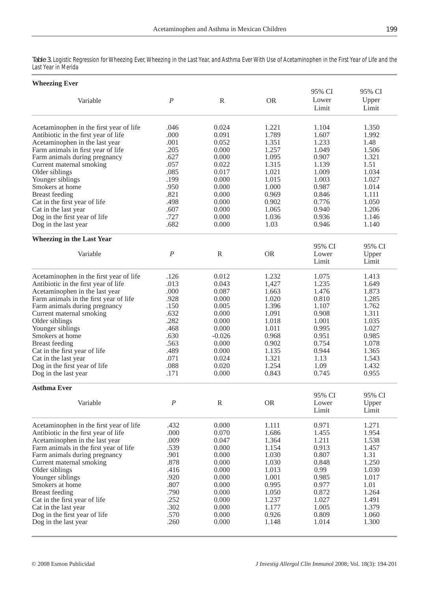Table 3. Logistic Regression for Wheezing Ever, Wheezing in the Last Year, and Asthma Ever With Use of Acetaminophen in the First Year of Life and the Last Year in Merida

| <b>Wheezing Ever</b>                    |                  |              |           | 95% CI          | 95% CI         |
|-----------------------------------------|------------------|--------------|-----------|-----------------|----------------|
| Variable                                | $\boldsymbol{P}$ | $\mathbb{R}$ | <b>OR</b> | Lower<br>Limit  | Upper<br>Limit |
| Acetaminophen in the first year of life | .046             | 0.024        | 1.221     | 1.104           | 1.350          |
| Antibiotic in the first year of life    | .000             | 0.091        | 1.789     | 1.607           | 1.992          |
| Acetaminophen in the last year          | .001             | 0.052        | 1.351     | 1.233           | 1.48           |
| Farm animals in first year of life      | .205             | 0.000        | 1.257     | 1.049           | 1.506          |
| Farm animals during pregnancy           | .627             | 0.000        | 1.095     | 0.907           | 1.321          |
| Current maternal smoking                | .057             | 0.022        | 1.315     | 1.139           | 1.51           |
| Older siblings                          | .085             | 0.017        | 1.021     | 1.009           | 1.034          |
| Younger siblings                        | .199             | 0.000        | 1.015     | 1.003           | 1.027          |
| Smokers at home                         | .950             | 0.000        | 1.000     | 0.987           | 1.014          |
| <b>Breast</b> feeding                   | .821             | 0.000        | 0.969     | 0.846           | 1.111          |
| Cat in the first year of life           | .498             | 0.000        | 0.902     | 0.776           | 1.050          |
| Cat in the last year                    | .607             | 0.000        | 1.065     | 0.940           | 1.206          |
| Dog in the first year of life           | .727             | 0.000        | 1.036     | 0.936           | 1.146          |
| Dog in the last year                    | .682             | 0.000        | 1.03      | 0.946           | 1.140          |
| <b>Wheezing in the Last Year</b>        |                  |              |           | 95% CI          | 95% CI         |
| Variable                                | $\boldsymbol{P}$ | ${\bf R}$    | <b>OR</b> | Lower           | Upper          |
|                                         |                  |              |           | Limit           | Limit          |
| Acetaminophen in the first year of life | .126             | 0.012        | 1.232     | 1.075           | 1.413          |
| Antibiotic in the first year of life    | .013             | 0.043        | 1,427     | 1.235           | 1.649          |
| Acetaminophen in the last year          | .000             | 0.087        | 1.663     | 1.476           | 1.873          |
| Farm animals in the first year of life  | .928             | 0.000        | 1.020     | 0.810           | 1.285          |
| Farm animals during pregnancy           | .150             | 0.005        | 1.396     | 1.107           | 1.762          |
| Current maternal smoking                | .632             | 0.000        | 1.091     | 0.908           | 1.311          |
| Older siblings                          | .282             | 0.000        | 1.018     | 1.001           | 1.035          |
| Younger siblings                        | .468             | 0.000        | 1.011     | 0.995           | 1.027          |
| Smokers at home                         | .630             | $-0.026$     | 0.968     | 0.951           | 0.985          |
| <b>Breast</b> feeding                   | .563             | 0.000        | 0.902     | 0.754           | 1.078          |
| Cat in the first year of life           | .489             | 0.000        | 1.135     | 0.944           | 1.365          |
| Cat in the last year                    | .071             | 0.024        | 1.321     | 1.13            | 1.543          |
| Dog in the first year of life           | .088             | 0.020        | 1.254     | 1.09            | 1.432          |
| Dog in the last year                    | .171             | 0.000        | 0.843     | 0.745           | 0.955          |
| <b>Asthma Ever</b>                      |                  |              |           |                 |                |
| Variable                                | $\boldsymbol{P}$ | $\mathbb{R}$ | <b>OR</b> | 95% CI<br>Lower | 95% CI         |
|                                         |                  |              |           | Limit           | Upper<br>Limit |
| Acetaminophen in the first year of life | .432             | 0.000        | 1.111     | 0.971           | 1.271          |
| Antibiotic in the first year of life    | .000             | 0.070        | 1.686     | 1.455           | 1.954          |
| Acetaminophen in the last year          | .009             | 0.047        | 1.364     | 1.211           | 1.538          |
| Farm animals in the first year of life  | .539             | 0.000        | 1.154     | 0.913           | 1.457          |
| Farm animals during pregnancy           | .901             | 0.000        | 1.030     | 0.807           | 1.31           |
| Current maternal smoking                | .878             | 0.000        | 1.030     | 0.848           | 1.250          |
| Older siblings                          | .416             | 0.000        | 1.013     | 0.99            | 1.030          |
| Younger siblings                        | .920             | 0.000        | 1.001     | 0.985           | 1.017          |
| Smokers at home                         | .807             | 0.000        | 0.995     | 0.977           | 1.01           |
| <b>Breast</b> feeding                   | .790             | 0.000        | 1.050     | 0.872           | 1.264          |
| Cat in the first year of life           | .252             | 0.000        | 1.237     | 1.027           | 1.491          |
| Cat in the last year                    | .302             | 0.000        | 1.177     | 1.005           | 1.379          |
| Dog in the first year of life           | .570             | 0.000        | 0.926     | 0.809           | 1.060          |
| Dog in the last year                    | .260             | 0.000        | 1.148     | 1.014           | 1.300          |
|                                         |                  |              |           |                 |                |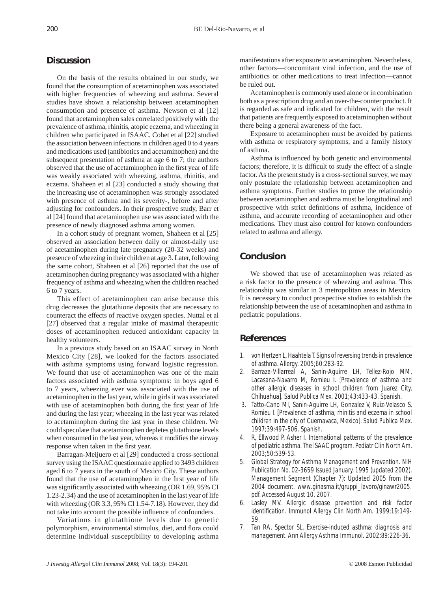# **Discussion**

On the basis of the results obtained in our study, we found that the consumption of acetaminophen was associated with higher frequencies of wheezing and asthma. Several studies have shown a relationship between acetaminophen consumption and presence of asthma. Newson et al [12] found that acetaminophen sales correlated positively with the prevalence of asthma, rhinitis, atopic eczema, and wheezing in children who participated in ISAAC. Cohet et al [22] studied the association between infections in children aged 0 to 4 years and medications used (antibiotics and acetaminophen) and the subsequent presentation of asthma at age 6 to 7; the authors observed that the use of acetaminophen in the first year of life was weakly associated with wheezing, asthma, rhinitis, and eczema. Shaheen et al [23] conducted a study showing that the increasing use of acetaminophen was strongly associated with presence of asthma and its severity-, before and after adjusting for confounders. In their prospective study, Barr et al [24] found that acetaminophen use was associated with the presence of newly diagnosed asthma among women.

In a cohort study of pregnant women, Shaheen et al [25] observed an association between daily or almost-daily use of acetaminophen during late pregnancy (20-32 weeks) and presence of wheezing in their children at age 3. Later, following the same cohort, Shaheen et al [26] reported that the use of acetaminophen during pregnancy was associated with a higher frequency of asthma and wheezing when the children reached 6 to 7 years.

This effect of acetaminophen can arise because this drug decreases the glutathione deposits that are necessary to counteract the effects of reactive oxygen species. Nuttal et al [27] observed that a regular intake of maximal therapeutic doses of acetaminophen reduced antioxidant capacity in healthy volunteers.

In a previous study based on an ISAAC survey in North Mexico City [28], we looked for the factors associated with asthma symptoms using forward logistic regression. We found that use of acetaminophen was one of the main factors associated with asthma symptoms: in boys aged 6 to 7 years, wheezing ever was associated with the use of acetaminophen in the last year, while in girls it was associated with use of acetaminophen both during the first year of life and during the last year; wheezing in the last year was related to acetaminophen during the last year in these children. We could speculate that acetaminophen depletes glutathione levels when consumed in the last year, whereas it modifies the airway response when taken in the first year.

Barragan-Meijuero et al [29] conducted a cross-sectional survey using the ISAAC questionnaire applied to 3493 children aged 6 to 7 years in the south of Mexico City. These authors found that the use of acetaminophen in the first year of life was significantly associated with wheezing (OR 1.69, 95% CI 1.23-2.34) and the use of acetaminophen in the last year of life with wheezing (OR 3.3, 95% CI 1.54-7.18). However, they did not take into account the possible influence of confounders.

Variations in glutathione levels due to genetic polymorphism, environmental stimulus, diet, and flora could determine individual susceptibility to developing asthma manifestations after exposure to acetaminophen. Nevertheless, other factors—concomitant viral infection, and the use of antibiotics or other medications to treat infection—cannot be ruled out.

Acetaminophen is commonly used alone or in combination both as a prescription drug and an over-the-counter product. It is regarded as safe and indicated for children, with the result that patients are frequently exposed to acetaminophen without there being a general awareness of the fact.

Exposure to acetaminophen must be avoided by patients with asthma or respiratory symptoms, and a family history of asthma.

Asthma is influenced by both genetic and environmental factors; therefore, it is difficult to study the effect of a single factor. As the present study is a cross-sectional survey, we may only postulate the relationship between acetaminophen and asthma symptoms. Further studies to prove the relationship between acetaminophen and asthma must be longitudinal and prospective with strict definitions of asthma, incidence of asthma, and accurate recording of acetaminophen and other medications. They must also control for known confounders related to asthma and allergy.

# **Conclusion**

We showed that use of acetaminophen was related as a risk factor to the presence of wheezing and asthma. This relationship was similar in 3 metropolitan areas in Mexico. It is necessary to conduct prospective studies to establish the relationship between the use of acetaminophen and asthma in pediatric populations.

#### **References**

- 1. von Hertzen L, Haahtela T. Signs of reversing trends in prevalence of asthma. Allergy. 2005;60:283-92.
- 2. Barraza-Villarreal A, Sanin-Aguirre LH, Tellez-Rojo MM, Lacasana-Navarro M, Romieu I. [Prevalence of asthma and other allergic diseases in school children from Juarez City, Chihuahua]. Salud Publica Mex. 2001;43:433-43. Spanish.
- 3. Tatto-Cano MI, Sanin-Aguirre LH, Gonzalez V, Ruiz-Velasco S, Romieu I. [Prevalence of asthma, rhinitis and eczema in school children in the city of Cuernavaca, Mexico]. Salud Publica Mex. 1997;39:497-506. Spanish.
- 4. R, Ellwood P, Asher I. International patterns of the prevalence of pediatric asthma. The ISAAC program. Pediatr Clin North Am. 2003;50:539-53.
- 5. Global Strategy for Asthma Management and Prevention. NIH Publication No. 02-3659 Issued January, 1995 (updated 2002). Management Segment (Chapter 7): Updated 2005 from the 2004 document. www.ginasma.it/gruppi\_lavoro/ginawr2005. pdf. Accessed August 10, 2007.
- Lasley MV. Allergic disease prevention and risk factor identification. Immunol Allergy Clin North Am. 1999;19:149-59.
- 7. Tan RA, Spector SL. Exercise-induced asthma: diagnosis and management. Ann Allergy Asthma Immunol. 2002:89:226-36.